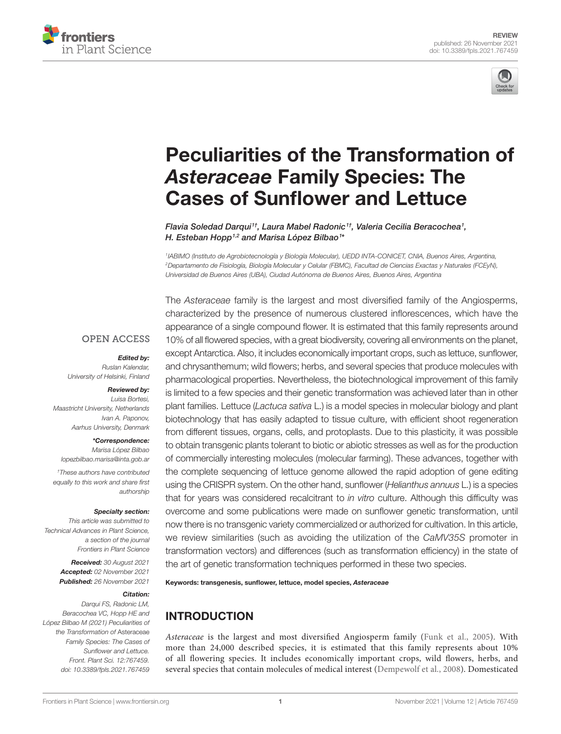



# [Peculiarities of the Transformation of](https://www.frontiersin.org/articles/10.3389/fpls.2021.767459/full)  *Asteraceae* [Family Species: The](https://www.frontiersin.org/articles/10.3389/fpls.2021.767459/full)  [Cases of Sunflower and Lettuce](https://www.frontiersin.org/articles/10.3389/fpls.2021.767459/full)

*Flavia Soledad Darqui1† , Laura Mabel Radonic1† , Valeria Cecilia Beracochea1 , H. Esteban Hopp1,2 and Marisa López Bilbao1 \**

*1IABIMO (Instituto de Agrobiotecnología y Biología Molecular), UEDD INTA-CONICET, CNIA, Buenos Aires, Argentina, 2Departamento de Fisiología, Biología Molecular y Celular (FBMC), Facultad de Ciencias Exactas y Naturales (FCEyN), Universidad de Buenos Aires (UBA), Ciudad Autónoma de Buenos Aires, Buenos Aires, Argentina*

The *Asteraceae* family is the largest and most diversified family of the Angiosperms,

#### **OPEN ACCESS**

#### *Edited by:*

*Ruslan Kalendar, University of Helsinki, Finland*

#### *Reviewed by: Luisa Bortesi,*

*Maastricht University, Netherlands Ivan A. Paponov, Aarhus University, Denmark*

#### *\*Correspondence:*

*Marisa López Bilbao [lopezbilbao.marisa@inta.gob.ar](mailto:lopezbilbao.marisa@inta.gob.ar)*

*† These authors have contributed equally to this work and share first authorship*

#### *Specialty section:*

*This article was submitted to Technical Advances in Plant Science, a section of the journal Frontiers in Plant Science*

> *Received: 30 August 2021 Accepted: 02 November 2021 Published: 26 November 2021*

#### *Citation:*

*Darqui FS, Radonic LM, Beracochea VC, Hopp HE and López Bilbao M (2021) Peculiarities of the Transformation of* Asteraceae *Family Species: The Cases of Sunflower and Lettuce. Front. Plant Sci. 12:767459. [doi: 10.3389/fpls.2021.767459](https://doi.org/10.3389/fpls.2021.767459)* characterized by the presence of numerous clustered inflorescences, which have the appearance of a single compound flower. It is estimated that this family represents around 10% of all flowered species, with a great biodiversity, covering all environments on the planet, except Antarctica. Also, it includes economically important crops, such as lettuce, sunflower, and chrysanthemum; wild flowers; herbs, and several species that produce molecules with pharmacological properties. Nevertheless, the biotechnological improvement of this family is limited to a few species and their genetic transformation was achieved later than in other plant families. Lettuce (*Lactuca sativa* L.) is a model species in molecular biology and plant biotechnology that has easily adapted to tissue culture, with efficient shoot regeneration from different tissues, organs, cells, and protoplasts. Due to this plasticity, it was possible to obtain transgenic plants tolerant to biotic or abiotic stresses as well as for the production of commercially interesting molecules (molecular farming). These advances, together with the complete sequencing of lettuce genome allowed the rapid adoption of gene editing using the CRISPR system. On the other hand, sunflower (*Helianthus annuus* L.) is a species that for years was considered recalcitrant to *in vitro* culture. Although this difficulty was overcome and some publications were made on sunflower genetic transformation, until now there is no transgenic variety commercialized or authorized for cultivation. In this article, we review similarities (such as avoiding the utilization of the *CaMV35S* promoter in transformation vectors) and differences (such as transformation efficiency) in the state of the art of genetic transformation techniques performed in these two species.

Keywords: transgenesis, sunflower, lettuce, model species, *Asteraceae*

# INTRODUCTION

*Asteraceae* is the largest and most diversified Angiosperm family ([Funk et al., 2005](#page-7-0)). With more than 24,000 described species, it is estimated that this family represents about 10% of all flowering species. It includes economically important crops, wild flowers, herbs, and several species that contain molecules of medical interest ([Dempewolf et al., 2008\)](#page-7-1). Domesticated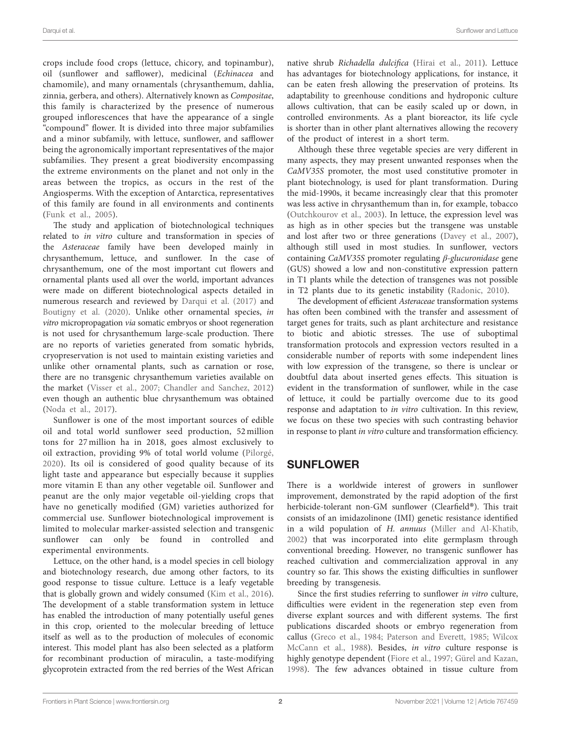crops include food crops (lettuce, chicory, and topinambur), oil (sunflower and safflower), medicinal (*Echinacea* and chamomile), and many ornamentals (chrysanthemum, dahlia, zinnia, gerbera, and others). Alternatively known as *Compositae*, this family is characterized by the presence of numerous grouped inflorescences that have the appearance of a single "compound" flower. It is divided into three major subfamilies and a minor subfamily, with lettuce, sunflower, and safflower being the agronomically important representatives of the major subfamilies. They present a great biodiversity encompassing the extreme environments on the planet and not only in the areas between the tropics, as occurs in the rest of the Angiosperms. With the exception of Antarctica, representatives of this family are found in all environments and continents ([Funk et al., 2005](#page-7-0)).

The study and application of biotechnological techniques related to *in vitro* culture and transformation in species of the *Asteraceae* family have been developed mainly in chrysanthemum, lettuce, and sunflower. In the case of chrysanthemum, one of the most important cut flowers and ornamental plants used all over the world, important advances were made on different biotechnological aspects detailed in numerous research and reviewed by [Darqui et al. \(2017\)](#page-7-2) and [Boutigny et al. \(2020\)](#page-6-0). Unlike other ornamental species, *in vitro* micropropagation *via* somatic embryos or shoot regeneration is not used for chrysanthemum large-scale production. There are no reports of varieties generated from somatic hybrids, cryopreservation is not used to maintain existing varieties and unlike other ornamental plants, such as carnation or rose, there are no transgenic chrysanthemum varieties available on the market ([Visser et al., 2007](#page-8-0); [Chandler and Sanchez, 2012](#page-7-3)) even though an authentic blue chrysanthemum was obtained ([Noda et al., 2017\)](#page-8-1).

Sunflower is one of the most important sources of edible oil and total world sunflower seed production, 52 million tons for 27 million ha in 2018, goes almost exclusively to oil extraction, providing 9% of total world volume ([Pilorgé,](#page-8-2)  [2020](#page-8-2)). Its oil is considered of good quality because of its light taste and appearance but especially because it supplies more vitamin E than any other vegetable oil. Sunflower and peanut are the only major vegetable oil-yielding crops that have no genetically modified (GM) varieties authorized for commercial use. Sunflower biotechnological improvement is limited to molecular marker-assisted selection and transgenic sunflower can only be found in controlled and experimental environments.

Lettuce, on the other hand, is a model species in cell biology and biotechnology research, due among other factors, to its good response to tissue culture. Lettuce is a leafy vegetable that is globally grown and widely consumed [\(Kim et al., 2016](#page-7-4)). The development of a stable transformation system in lettuce has enabled the introduction of many potentially useful genes in this crop, oriented to the molecular breeding of lettuce itself as well as to the production of molecules of economic interest. This model plant has also been selected as a platform for recombinant production of miraculin, a taste-modifying glycoprotein extracted from the red berries of the West African

native shrub *Richadella dulcifica* ([Hirai et al., 2011\)](#page-7-5). Lettuce has advantages for biotechnology applications, for instance, it can be eaten fresh allowing the preservation of proteins. Its adaptability to greenhouse conditions and hydroponic culture allows cultivation, that can be easily scaled up or down, in controlled environments. As a plant bioreactor, its life cycle is shorter than in other plant alternatives allowing the recovery of the product of interest in a short term.

Although these three vegetable species are very different in many aspects, they may present unwanted responses when the *CaMV35S* promoter, the most used constitutive promoter in plant biotechnology, is used for plant transformation. During the mid-1990s, it became increasingly clear that this promoter was less active in chrysanthemum than in, for example, tobacco [\(Outchkourov et al., 2003](#page-8-3)). In lettuce, the expression level was as high as in other species but the transgene was unstable and lost after two or three generations ([Davey et al., 2007](#page-7-6)), although still used in most studies. In sunflower, vectors containing *CaMV35S* promoter regulating *β-glucuronidase* gene (GUS) showed a low and non-constitutive expression pattern in T1 plants while the detection of transgenes was not possible in T2 plants due to its genetic instability ([Radonic, 2010](#page-8-4)).

The development of efficient *Asteraceae* transformation systems has often been combined with the transfer and assessment of target genes for traits, such as plant architecture and resistance to biotic and abiotic stresses. The use of suboptimal transformation protocols and expression vectors resulted in a considerable number of reports with some independent lines with low expression of the transgene, so there is unclear or doubtful data about inserted genes effects. This situation is evident in the transformation of sunflower, while in the case of lettuce, it could be partially overcome due to its good response and adaptation to *in vitro* cultivation. In this review, we focus on these two species with such contrasting behavior in response to plant *in vitro* culture and transformation efficiency.

## SUNFLOWER

There is a worldwide interest of growers in sunflower improvement, demonstrated by the rapid adoption of the first herbicide-tolerant non-GM sunflower (Clearfield®). This trait consists of an imidazolinone (IMI) genetic resistance identified in a wild population of *H. annuus* [\(Miller and Al-Khatib,](#page-8-5)  [2002\)](#page-8-5) that was incorporated into elite germplasm through conventional breeding. However, no transgenic sunflower has reached cultivation and commercialization approval in any country so far. This shows the existing difficulties in sunflower breeding by transgenesis.

Since the first studies referring to sunflower *in vitro* culture, difficulties were evident in the regeneration step even from diverse explant sources and with different systems. The first publications discarded shoots or embryo regeneration from callus [\(Greco et al., 1984](#page-7-7); [Paterson and Everett, 1985;](#page-8-6) [Wilcox](#page-8-7)  [McCann et al., 1988](#page-8-7)). Besides, *in vitro* culture response is highly genotype dependent ([Fiore et al., 1997](#page-7-8); [Gürel and Kazan,](#page-7-9)  [1998\)](#page-7-9). The few advances obtained in tissue culture from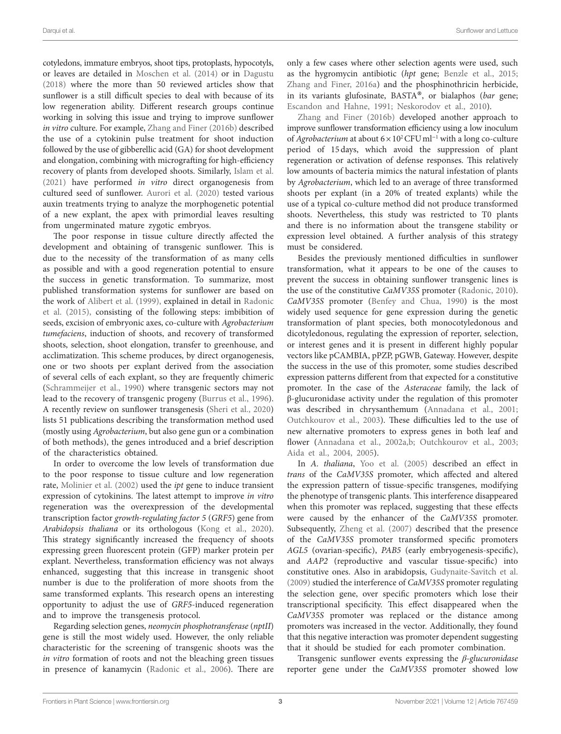cotyledons, immature embryos, shoot tips, protoplasts, hypocotyls, or leaves are detailed in [Moschen et al. \(2014\)](#page-8-8) or in [Dagustu](#page-7-10)  [\(2018\)](#page-7-10) where the more than 50 reviewed articles show that sunflower is a still difficult species to deal with because of its low regeneration ability. Different research groups continue working in solving this issue and trying to improve sunflower *in vitro* culture. For example, [Zhang and Finer \(2016b\)](#page-8-9) described the use of a cytokinin pulse treatment for shoot induction followed by the use of gibberellic acid (GA) for shoot development and elongation, combining with micrografting for high-efficiency recovery of plants from developed shoots. Similarly, [Islam et al.](#page-7-11)  [\(2021\)](#page-7-11) have performed *in vitro* direct organogenesis from cultured seed of sunflower. [Aurori et al. \(2020\)](#page-6-1) tested various auxin treatments trying to analyze the morphogenetic potential of a new explant, the apex with primordial leaves resulting from ungerminated mature zygotic embryos.

The poor response in tissue culture directly affected the development and obtaining of transgenic sunflower. This is due to the necessity of the transformation of as many cells as possible and with a good regeneration potential to ensure the success in genetic transformation. To summarize, most published transformation systems for sunflower are based on the work of [Alibert et al. \(1999\),](#page-6-2) explained in detail in [Radonic](#page-8-10)  [et al. \(2015\),](#page-8-10) consisting of the following steps: imbibition of seeds, excision of embryonic axes, co-culture with *Agrobacterium tumefaciens*, induction of shoots, and recovery of transformed shoots, selection, shoot elongation, transfer to greenhouse, and acclimatization. This scheme produces, by direct organogenesis, one or two shoots per explant derived from the association of several cells of each explant, so they are frequently chimeric ([Schrammeijer et al., 1990\)](#page-8-11) where transgenic sectors may not lead to the recovery of transgenic progeny [\(Burrus et al., 1996](#page-6-3)). A recently review on sunflower transgenesis [\(Sheri et al., 2020](#page-8-12)) lists 51 publications describing the transformation method used (mostly using *Agrobacterium*, but also gene gun or a combination of both methods), the genes introduced and a brief description of the characteristics obtained.

In order to overcome the low levels of transformation due to the poor response to tissue culture and low regeneration rate, [Molinier et al. \(2002\)](#page-8-13) used the *ipt* gene to induce transient expression of cytokinins. The latest attempt to improve *in vitro* regeneration was the overexpression of the developmental transcription factor *growth-regulating factor 5* (*GRF5*) gene from *Arabidopsis thaliana* or its orthologous ([Kong et al., 2020](#page-7-12)). This strategy significantly increased the frequency of shoots expressing green fluorescent protein (GFP) marker protein per explant. Nevertheless, transformation efficiency was not always enhanced, suggesting that this increase in transgenic shoot number is due to the proliferation of more shoots from the same transformed explants. This research opens an interesting opportunity to adjust the use of *GRF5*-induced regeneration and to improve the transgenesis protocol.

Regarding selection genes, *neomycin phosphotransferase* (*nptII*) gene is still the most widely used. However, the only reliable characteristic for the screening of transgenic shoots was the *in vitro* formation of roots and not the bleaching green tissues in presence of kanamycin ([Radonic et al., 2006\)](#page-8-14). There are only a few cases where other selection agents were used, such as the hygromycin antibiotic (*hpt* gene; [Benzle et al., 2015;](#page-6-4) [Zhang and Finer, 2016a\)](#page-8-15) and the phosphinothricin herbicide, in its variants glufosinate, BASTA®, or bialaphos (*bar* gene; [Escandon and Hahne, 1991](#page-7-13); [Neskorodov et al., 2010\)](#page-8-16).

[Zhang and Finer \(2016b\)](#page-8-9) developed another approach to improve sunflower transformation efficiency using a low inoculum of *Agrobacterium* at about 6 × 10<sup>2</sup> CFU ml<sup>-1</sup> with a long co-culture period of 15days, which avoid the suppression of plant regeneration or activation of defense responses. This relatively low amounts of bacteria mimics the natural infestation of plants by *Agrobacterium*, which led to an average of three transformed shoots per explant (in a 20% of treated explants) while the use of a typical co-culture method did not produce transformed shoots. Nevertheless, this study was restricted to T0 plants and there is no information about the transgene stability or expression level obtained. A further analysis of this strategy must be considered.

Besides the previously mentioned difficulties in sunflower transformation, what it appears to be one of the causes to prevent the success in obtaining sunflower transgenic lines is the use of the constitutive *CaMV35S* promoter ([Radonic, 2010](#page-8-4)). *CaMV35S* promoter [\(Benfey and Chua, 1990\)](#page-6-5) is the most widely used sequence for gene expression during the genetic transformation of plant species, both monocotyledonous and dicotyledonous, regulating the expression of reporter, selection, or interest genes and it is present in different highly popular vectors like pCAMBIA, pPZP, pGWB, Gateway. However, despite the success in the use of this promoter, some studies described expression patterns different from that expected for a constitutive promoter. In the case of the *Asteraceae* family, the lack of β-glucuronidase activity under the regulation of this promoter was described in chrysanthemum ([Annadana et al., 2001;](#page-6-6) [Outchkourov et al., 2003\)](#page-8-3). These difficulties led to the use of new alternative promoters to express genes in both leaf and flower ([Annadana et al., 2002a,](#page-6-7)[b;](#page-6-8) [Outchkourov et al., 2003;](#page-8-3) [Aida et al., 2004](#page-6-9), [2005\)](#page-6-10).

In *A. thaliana*, [Yoo et al. \(2005\)](#page-8-17) described an effect in *trans* of the *CaMV35S* promoter, which affected and altered the expression pattern of tissue-specific transgenes, modifying the phenotype of transgenic plants. This interference disappeared when this promoter was replaced, suggesting that these effects were caused by the enhancer of the *CaMV35S* promoter. Subsequently, [Zheng et al. \(2007\)](#page-9-0) described that the presence of the *CaMV35S* promoter transformed specific promoters *AGL5* (ovarian-specific), *PAB5* (early embryogenesis-specific), and *AAP2* (reproductive and vascular tissue-specific) into constitutive ones. Also in arabidopsis, [Gudynaite-Savitch et al.](#page-7-14)  [\(2009\)](#page-7-14) studied the interference of *CaMV35S* promoter regulating the selection gene, over specific promoters which lose their transcriptional specificity. This effect disappeared when the *CaMV35S* promoter was replaced or the distance among promoters was increased in the vector. Additionally, they found that this negative interaction was promoter dependent suggesting that it should be studied for each promoter combination.

Transgenic sunflower events expressing the *β-glucuronidase* reporter gene under the *CaMV35S* promoter showed low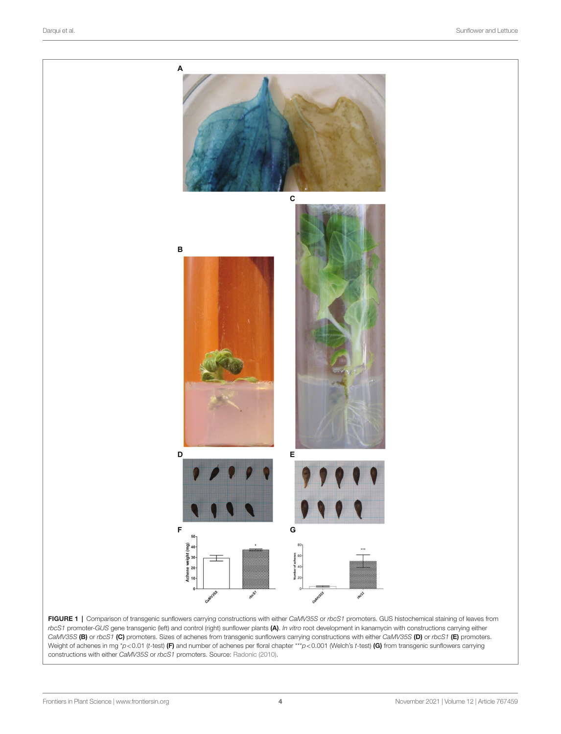<span id="page-3-0"></span>

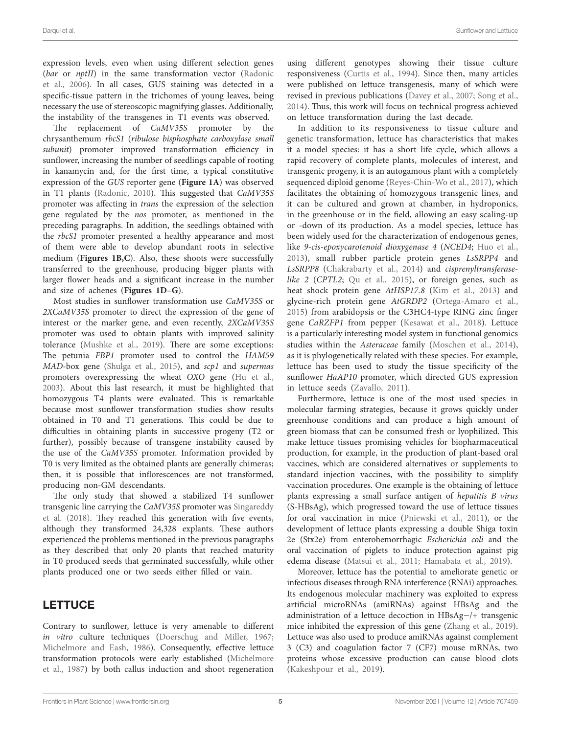expression levels, even when using different selection genes (*bar* or *nptII*) in the same transformation vector ([Radonic](#page-8-14)  [et al., 2006](#page-8-14)). In all cases, GUS staining was detected in a specific-tissue pattern in the trichomes of young leaves, being necessary the use of stereoscopic magnifying glasses. Additionally, the instability of the transgenes in T1 events was observed.

The replacement of *CaMV35S* promoter by the chrysanthemum *rbcS1* (*ribulose bisphosphate carboxylase small subunit*) promoter improved transformation efficiency in sunflower, increasing the number of seedlings capable of rooting in kanamycin and, for the first time, a typical constitutive expression of the *GUS* reporter gene (**[Figure 1A](#page-3-0)**) was observed in T1 plants [\(Radonic, 2010](#page-8-4)). This suggested that *CaMV35S* promoter was affecting in *trans* the expression of the selection gene regulated by the *nos* promoter, as mentioned in the preceding paragraphs. In addition, the seedlings obtained with the *rbcS1* promoter presented a healthy appearance and most of them were able to develop abundant roots in selective medium (**[Figures 1B](#page-3-0),[C](#page-3-0)**). Also, these shoots were successfully transferred to the greenhouse, producing bigger plants with larger flower heads and a significant increase in the number and size of achenes (**[Figures 1D](#page-3-0)**–**[G](#page-3-0)**).

Most studies in sunflower transformation use *CaMV35S* or *2XCaMV35S* promoter to direct the expression of the gene of interest or the marker gene, and even recently, *2XCaMV35S* promoter was used to obtain plants with improved salinity tolerance [\(Mushke et al., 2019\)](#page-8-18). There are some exceptions: The petunia *FBP1* promoter used to control the *HAM59 MAD*-box gene ([Shulga et al., 2015](#page-8-19)), and *scp1* and *supermas* promoters overexpressing the wheat *OXO* gene [\(Hu et al.,](#page-7-15)  [2003\)](#page-7-15). About this last research, it must be highlighted that homozygous T4 plants were evaluated. This is remarkable because most sunflower transformation studies show results obtained in T0 and T1 generations. This could be due to difficulties in obtaining plants in successive progeny (T2 or further), possibly because of transgene instability caused by the use of the *CaMV35S* promoter. Information provided by T0 is very limited as the obtained plants are generally chimeras; then, it is possible that inflorescences are not transformed, producing non-GM descendants.

The only study that showed a stabilized T4 sunflower transgenic line carrying the *CaMV35S* promoter was [Singareddy](#page-8-20)  [et al. \(2018\)](#page-8-20). They reached this generation with five events, although they transformed 24,328 explants. These authors experienced the problems mentioned in the previous paragraphs as they described that only 20 plants that reached maturity in T0 produced seeds that germinated successfully, while other plants produced one or two seeds either filled or vain.

## **LETTUCE**

Contrary to sunflower, lettuce is very amenable to different *in vitro* culture techniques ([Doerschug and Miller, 1967](#page-7-16); [Michelmore and Eash, 1986\)](#page-7-17). Consequently, effective lettuce transformation protocols were early established [\(Michelmore](#page-7-18)  [et al., 1987\)](#page-7-18) by both callus induction and shoot regeneration using different genotypes showing their tissue culture responsiveness [\(Curtis et al., 1994](#page-7-19)). Since then, many articles were published on lettuce transgenesis, many of which were revised in previous publications ([Davey et al., 2007](#page-7-6); [Song et al.,](#page-8-21)  [2014\)](#page-8-21). Thus, this work will focus on technical progress achieved on lettuce transformation during the last decade.

In addition to its responsiveness to tissue culture and genetic transformation, lettuce has characteristics that makes it a model species: it has a short life cycle, which allows a rapid recovery of complete plants, molecules of interest, and transgenic progeny, it is an autogamous plant with a completely sequenced diploid genome [\(Reyes-Chin-Wo et al., 2017\)](#page-8-22), which facilitates the obtaining of homozygous transgenic lines, and it can be cultured and grown at chamber, in hydroponics, in the greenhouse or in the field, allowing an easy scaling-up or -down of its production. As a model species, lettuce has been widely used for the characterization of endogenous genes, like *9-cis-epoxycarotenoid dioxygenase 4* (*NCED4*; [Huo et al.,](#page-7-20)  [2013](#page-7-20)), small rubber particle protein genes *LsSRPP4* and *LsSRPP8* [\(Chakrabarty et al., 2014\)](#page-7-21) and *cisprenyltransferaselike 2* (*CPTL2*; [Qu et al., 2015](#page-8-23)), or foreign genes, such as heat shock protein gene *AtHSP17.8* [\(Kim et al., 2013](#page-7-22)) and glycine-rich protein gene *AtGRDP2* ([Ortega-Amaro et al.,](#page-8-24)  [2015](#page-8-24)) from arabidopsis or the C3HC4-type RING zinc finger gene *CaRZFP1* from pepper [\(Kesawat et al., 2018](#page-7-23)). Lettuce is a particularly interesting model system in functional genomics studies within the *Asteraceae* family ([Moschen et al., 2014](#page-8-8)), as it is phylogenetically related with these species. For example, lettuce has been used to study the tissue specificity of the sunflower *HaAP10* promoter, which directed GUS expression in lettuce seeds ([Zavallo, 2011\)](#page-8-25).

Furthermore, lettuce is one of the most used species in molecular farming strategies, because it grows quickly under greenhouse conditions and can produce a high amount of green biomass that can be consumed fresh or lyophilized. This make lettuce tissues promising vehicles for biopharmaceutical production, for example, in the production of plant-based oral vaccines, which are considered alternatives or supplements to standard injection vaccines, with the possibility to simplify vaccination procedures. One example is the obtaining of lettuce plants expressing a small surface antigen of *hepatitis B virus* (S-HBsAg), which progressed toward the use of lettuce tissues for oral vaccination in mice ([Pniewski et al., 2011](#page-8-26)), or the development of lettuce plants expressing a double Shiga toxin 2e (Stx2e) from enterohemorrhagic *Escherichia coli* and the oral vaccination of piglets to induce protection against pig edema disease ([Matsui et al., 2011;](#page-7-24) [Hamabata et al., 2019](#page-7-25)).

Moreover, lettuce has the potential to ameliorate genetic or infectious diseases through RNA interference (RNAi) approaches. Its endogenous molecular machinery was exploited to express artificial microRNAs (amiRNAs) against HBsAg and the administration of a lettuce decoction in HBsAg−/+ transgenic mice inhibited the expression of this gene [\(Zhang et al., 2019](#page-8-27)). Lettuce was also used to produce amiRNAs against complement 3 (C3) and coagulation factor 7 (CF7) mouse mRNAs, two proteins whose excessive production can cause blood clots [\(Kakeshpour et al., 2019\)](#page-7-26).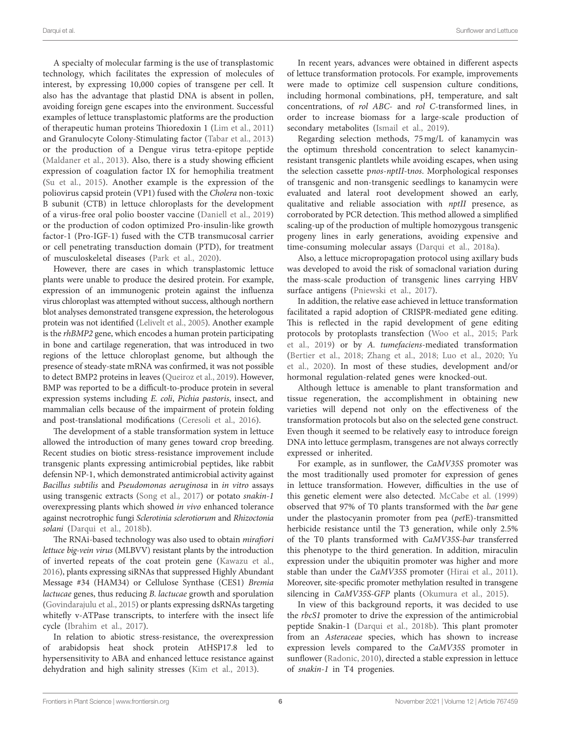A specialty of molecular farming is the use of transplastomic technology, which facilitates the expression of molecules of interest, by expressing 10,000 copies of transgene per cell. It also has the advantage that plastid DNA is absent in pollen, avoiding foreign gene escapes into the environment. Successful examples of lettuce transplastomic platforms are the production of therapeutic human proteins Thioredoxin 1 ([Lim et al., 2011](#page-7-27)) and Granulocyte Colony-Stimulating factor ([Tabar et al., 2013](#page-8-28)) or the production of a Dengue virus tetra-epitope peptide ([Maldaner et al., 2013](#page-7-28)). Also, there is a study showing efficient expression of coagulation factor IX for hemophilia treatment ([Su et al., 2015\)](#page-8-29). Another example is the expression of the poliovirus capsid protein (VP1) fused with the *Cholera* non-toxic B subunit (CTB) in lettuce chloroplasts for the development of a virus-free oral polio booster vaccine ([Daniell et al., 2019](#page-7-29)) or the production of codon optimized Pro-insulin-like growth factor-1 (Pro-IGF-1) fused with the CTB transmucosal carrier or cell penetrating transduction domain (PTD), for treatment of musculoskeletal diseases ([Park et al., 2020](#page-8-30)).

However, there are cases in which transplastomic lettuce plants were unable to produce the desired protein. For example, expression of an immunogenic protein against the influenza virus chloroplast was attempted without success, although northern blot analyses demonstrated transgene expression, the heterologous protein was not identified ([Lelivelt et al., 2005\)](#page-7-30). Another example is the *rhBMP2* gene, which encodes a human protein participating in bone and cartilage regeneration, that was introduced in two regions of the lettuce chloroplast genome, but although the presence of steady-state mRNA was confirmed, it was not possible to detect BMP2 proteins in leaves [\(Queiroz et al., 2019\)](#page-8-31). However, BMP was reported to be a difficult-to-produce protein in several expression systems including *E. coli*, *Pichia pastoris*, insect, and mammalian cells because of the impairment of protein folding and post-translational modifications ([Ceresoli et al., 2016\)](#page-6-11).

The development of a stable transformation system in lettuce allowed the introduction of many genes toward crop breeding. Recent studies on biotic stress-resistance improvement include transgenic plants expressing antimicrobial peptides, like rabbit defensin NP-1, which demonstrated antimicrobial activity against *Bacillus subtilis* and *Pseudomonas aeruginosa* in *in vitro* assays using transgenic extracts ([Song et al., 2017\)](#page-8-32) or potato *snakin-1* overexpressing plants which showed *in vivo* enhanced tolerance against necrotrophic fungi *Sclerotinia sclerotiorum* and *Rhizoctonia solani* ([Darqui et al., 2018b\)](#page-7-31).

The RNAi-based technology was also used to obtain *mirafiori lettuce big-vein virus* (MLBVV) resistant plants by the introduction of inverted repeats of the coat protein gene [\(Kawazu et al.,](#page-7-32)  [2016](#page-7-32)), plants expressing siRNAs that suppressed Highly Abundant Message #34 (HAM34) or Cellulose Synthase (CES1) *Bremia lactucae* genes, thus reducing *B. lactucae* growth and sporulation ([Govindarajulu et al., 2015\)](#page-7-33) or plants expressing dsRNAs targeting whitefly v-ATPase transcripts, to interfere with the insect life cycle ([Ibrahim et al., 2017\)](#page-7-34).

In relation to abiotic stress-resistance, the overexpression of arabidopsis heat shock protein AtHSP17.8 led to hypersensitivity to ABA and enhanced lettuce resistance against dehydration and high salinity stresses ([Kim et al., 2013](#page-7-22)).

In recent years, advances were obtained in different aspects of lettuce transformation protocols. For example, improvements were made to optimize cell suspension culture conditions, including hormonal combinations, pH, temperature, and salt concentrations, of *rol ABC*- and *rol C*-transformed lines, in order to increase biomass for a large-scale production of secondary metabolites [\(Ismail et al., 2019\)](#page-7-35).

Regarding selection methods, 75mg/L of kanamycin was the optimum threshold concentration to select kanamycinresistant transgenic plantlets while avoiding escapes, when using the selection cassette p*nos*-*nptII*-t*nos*. Morphological responses of transgenic and non-transgenic seedlings to kanamycin were evaluated and lateral root development showed an early, qualitative and reliable association with *nptII* presence, as corroborated by PCR detection. This method allowed a simplified scaling-up of the production of multiple homozygous transgenic progeny lines in early generations, avoiding expensive and time-consuming molecular assays [\(Darqui et al., 2018a](#page-7-36)).

Also, a lettuce micropropagation protocol using axillary buds was developed to avoid the risk of somaclonal variation during the mass-scale production of transgenic lines carrying HBV surface antigens [\(Pniewski et al., 2017\)](#page-8-33).

In addition, the relative ease achieved in lettuce transformation facilitated a rapid adoption of CRISPR-mediated gene editing. This is reflected in the rapid development of gene editing protocols by protoplasts transfection [\(Woo et al., 2015;](#page-8-34) [Park](#page-8-35)  [et al., 2019](#page-8-35)) or by *A. tumefaciens*-mediated transformation [\(Bertier et al., 2018](#page-6-12); [Zhang et al., 2018](#page-9-1); [Luo et al., 2020](#page-7-37); [Yu](#page-8-36)  [et al., 2020](#page-8-36)). In most of these studies, development and/or hormonal regulation-related genes were knocked-out.

Although lettuce is amenable to plant transformation and tissue regeneration, the accomplishment in obtaining new varieties will depend not only on the effectiveness of the transformation protocols but also on the selected gene construct. Even though it seemed to be relatively easy to introduce foreign DNA into lettuce germplasm, transgenes are not always correctly expressed or inherited.

For example, as in sunflower, the *CaMV35S* promoter was the most traditionally used promoter for expression of genes in lettuce transformation. However, difficulties in the use of this genetic element were also detected. [McCabe et al. \(1999\)](#page-7-38) observed that 97% of T0 plants transformed with the *bar* gene under the plastocyanin promoter from pea (*pet*E)-transmitted herbicide resistance until the T3 generation, while only 2.5% of the T0 plants transformed with *CaMV35S-bar* transferred this phenotype to the third generation. In addition, miraculin expression under the ubiquitin promoter was higher and more stable than under the *CaMV35S* promoter ([Hirai et al., 2011](#page-7-5)). Moreover, site-specific promoter methylation resulted in transgene silencing in *CaMV35S-GFP* plants ([Okumura et al., 2015\)](#page-8-37).

In view of this background reports, it was decided to use the *rbcS1* promoter to drive the expression of the antimicrobial peptide Snakin-1 [\(Darqui et al., 2018b](#page-7-31)). This plant promoter from an *Asteraceae* species, which has shown to increase expression levels compared to the *CaMV35S* promoter in sunflower ([Radonic, 2010\)](#page-8-4), directed a stable expression in lettuce of *snakin-1* in T4 progenies.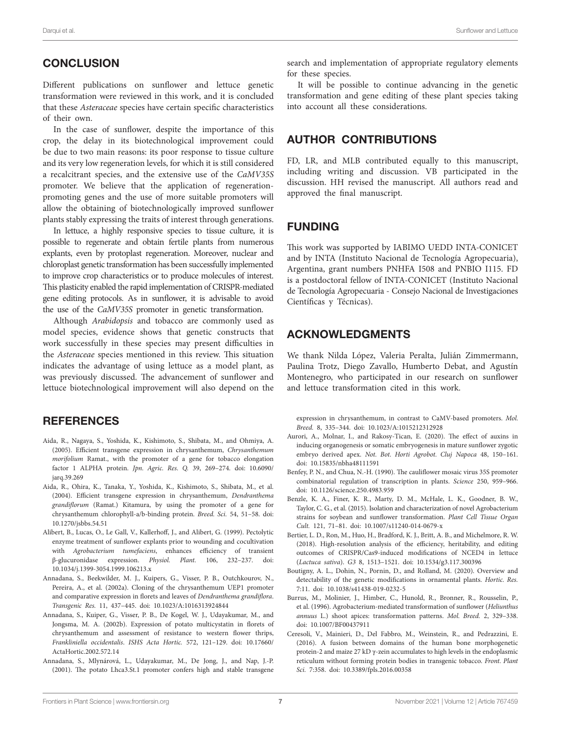## **CONCLUSION**

Different publications on sunflower and lettuce genetic transformation were reviewed in this work, and it is concluded that these *Asteraceae* species have certain specific characteristics of their own.

In the case of sunflower, despite the importance of this crop, the delay in its biotechnological improvement could be due to two main reasons: its poor response to tissue culture and its very low regeneration levels, for which it is still considered a recalcitrant species, and the extensive use of the *CaMV35S* promoter. We believe that the application of regenerationpromoting genes and the use of more suitable promoters will allow the obtaining of biotechnologically improved sunflower plants stably expressing the traits of interest through generations.

In lettuce, a highly responsive species to tissue culture, it is possible to regenerate and obtain fertile plants from numerous explants, even by protoplast regeneration. Moreover, nuclear and chloroplast genetic transformation has been successfully implemented to improve crop characteristics or to produce molecules of interest. This plasticity enabled the rapid implementation of CRISPR-mediated gene editing protocols. As in sunflower, it is advisable to avoid the use of the *CaMV35S* promoter in genetic transformation.

Although *Arabidopsis* and tobacco are commonly used as model species, evidence shows that genetic constructs that work successfully in these species may present difficulties in the *Asteraceae* species mentioned in this review. This situation indicates the advantage of using lettuce as a model plant, as was previously discussed. The advancement of sunflower and lettuce biotechnological improvement will also depend on the

#### **REFERENCES**

- <span id="page-6-10"></span>Aida, R., Nagaya, S., Yoshida, K., Kishimoto, S., Shibata, M., and Ohmiya, A. (2005). Efficient transgene expression in chrysanthemum, *Chrysanthemum morifolium* Ramat., with the promoter of a gene for tobacco elongation factor 1 ALPHA protein. *Jpn. Agric. Res. Q.* 39, 269–274. doi: [10.6090/](https://doi.org/10.6090/jarq.39.269) [jarq.39.269](https://doi.org/10.6090/jarq.39.269)
- <span id="page-6-9"></span>Aida, R., Ohira, K., Tanaka, Y., Yoshida, K., Kishimoto, S., Shibata, M., et al. (2004). Efficient transgene expression in chrysanthemum, *Dendranthema grandiflorum* (Ramat.) Kitamura, by using the promoter of a gene for chrysanthemum chlorophyll-a/b-binding protein. *Breed. Sci.* 54, 51–58. doi: [10.1270/jsbbs.54.51](https://doi.org/10.1270/jsbbs.54.51)
- <span id="page-6-2"></span>Alibert, B., Lucas, O., Le Gall, V., Kallerhoff, J., and Alibert, G. (1999). Pectolytic enzyme treatment of sunflower explants prior to wounding and cocultivation with *Agrobacterium tumefaciens*, enhances efficiency of transient β-glucuronidase expression. *Physiol. Plant.* 106, 232–237. doi: [10.1034/j.1399-3054.1999.106213.x](https://doi.org/10.1034/j.1399-3054.1999.106213.x)
- <span id="page-6-7"></span>Annadana, S., Beekwilder, M. J., Kuipers, G., Visser, P. B., Outchkourov, N., Pereira, A., et al. (2002a). Cloning of the chrysanthemum UEP1 promoter and comparative expression in florets and leaves of *Dendranthema grandiflora*. *Transgenic Res.* 11, 437–445. doi: [10.1023/A:1016313924844](https://doi.org/10.1023/A:1016313924844)
- <span id="page-6-8"></span>Annadana, S., Kuiper, G., Visser, P. B., De Kogel, W. J., Udayakumar, M., and Jongsma, M. A. (2002b). Expression of potato multicystatin in florets of chrysanthemum and assessment of resistance to western flower thrips, *Frankliniella occidentalis*. *ISHS Acta Hortic.* 572, 121–129. doi: [10.17660/](https://doi.org/10.17660/ActaHortic.2002.572.14) [ActaHortic.2002.572.14](https://doi.org/10.17660/ActaHortic.2002.572.14)
- <span id="page-6-6"></span>Annadana, S., Mlynárová, L., Udayakumar, M., De Jong, J., and Nap, J.-P. (2001). The potato Lhca3.St.1 promoter confers high and stable transgene

search and implementation of appropriate regulatory elements for these species.

It will be possible to continue advancing in the genetic transformation and gene editing of these plant species taking into account all these considerations.

## AUTHOR CONTRIBUTIONS

FD, LR, and MLB contributed equally to this manuscript, including writing and discussion. VB participated in the discussion. HH revised the manuscript. All authors read and approved the final manuscript.

#### FUNDING

This work was supported by IABIMO UEDD INTA-CONICET and by INTA (Instituto Nacional de Tecnología Agropecuaria), Argentina, grant numbers PNHFA I508 and PNBIO I115. FD is a postdoctoral fellow of INTA-CONICET (Instituto Nacional de Tecnología Agropecuaria - Consejo Nacional de Investigaciones Científicas y Técnicas).

# ACKNOWLEDGMENTS

We thank Nilda López, Valeria Peralta, Julián Zimmermann, Paulina Trotz, Diego Zavallo, Humberto Debat, and Agustín Montenegro, who participated in our research on sunflower and lettuce transformation cited in this work.

expression in chrysanthemum, in contrast to CaMV-based promoters. *Mol. Breed.* 8, 335–344. doi: [10.1023/A:1015212312928](https://doi.org/10.1023/A:1015212312928)

- <span id="page-6-1"></span>Aurori, A., Molnar, I., and Rakosy-Tican, E. (2020). The effect of auxins in inducing organogenesis or somatic embryogenesis in mature sunflower zygotic embryo derived apex. *Not. Bot. Horti Agrobot. Cluj Napoca* 48, 150–161. doi: [10.15835/nbha48111591](https://doi.org/10.15835/nbha48111591)
- <span id="page-6-5"></span>Benfey, P. N., and Chua, N.-H. (1990). The cauliflower mosaic virus 35S promoter combinatorial regulation of transcription in plants. *Science* 250, 959–966. doi: [10.1126/science.250.4983.959](https://doi.org/10.1126/science.250.4983.959)
- <span id="page-6-4"></span>Benzle, K. A., Finer, K. R., Marty, D. M., McHale, L. K., Goodner, B. W., Taylor, C. G., et al. (2015). Isolation and characterization of novel Agrobacterium strains for soybean and sunflower transformation. *Plant Cell Tissue Organ Cult.* 121, 71–81. doi: [10.1007/s11240-014-0679-x](https://doi.org/10.1007/s11240-014-0679-x)
- <span id="page-6-12"></span>Bertier, L. D., Ron, M., Huo, H., Bradford, K. J., Britt, A. B., and Michelmore, R. W. (2018). High-resolution analysis of the efficiency, heritability, and editing outcomes of CRISPR/Cas9-induced modifications of NCED4 in lettuce (*Lactuca sativa*). *G3* 8, 1513–1521. doi: [10.1534/g3.117.300396](https://doi.org/10.1534/g3.117.300396)
- <span id="page-6-0"></span>Boutigny, A. L., Dohin, N., Pornin, D., and Rolland, M. (2020). Overview and detectability of the genetic modifications in ornamental plants. *Hortic. Res.* 7:11. doi: [10.1038/s41438-019-0232-5](https://doi.org/10.1038/s41438-019-0232-5)
- <span id="page-6-3"></span>Burrus, M., Molinier, J., Himber, C., Hunold, R., Bronner, R., Rousselin, P., et al. (1996). Agrobacterium-mediated transformation of sunflower (*Heliunthus annuus* L.) shoot apices: transformation patterns. *Mol. Breed.* 2, 329–338. doi: [10.1007/BF00437911](https://doi.org/10.1007/BF00437911)
- <span id="page-6-11"></span>Ceresoli, V., Mainieri, D., Del Fabbro, M., Weinstein, R., and Pedrazzini, E. (2016). A fusion between domains of the human bone morphogenetic protein-2 and maize 27 kD γ-zein accumulates to high levels in the endoplasmic reticulum without forming protein bodies in transgenic tobacco. *Front. Plant Sci.* 7:358. doi: [10.3389/fpls.2016.00358](https://doi.org/10.3389/fpls.2016.00358)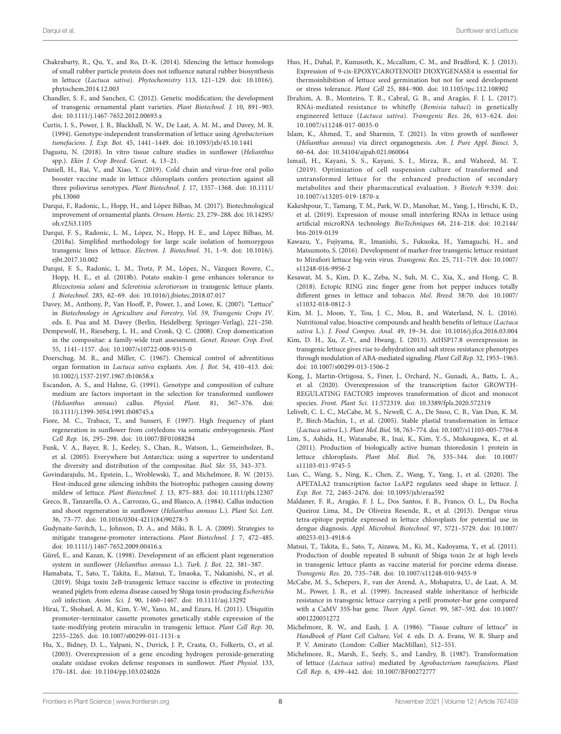- <span id="page-7-21"></span>Chakrabarty, R., Qu, Y., and Ro, D.-K. (2014). Silencing the lettuce homologs of small rubber particle protein does not influence natural rubber biosynthesis in lettuce (*Lactuca sativa*). *Phytochemistry* 113, 121–129. doi: [10.1016/j.](https://doi.org/10.1016/j.phytochem.2014.12.003) [phytochem.2014.12.003](https://doi.org/10.1016/j.phytochem.2014.12.003)
- <span id="page-7-3"></span>Chandler, S. F., and Sanchez, C. (2012). Genetic modification; the development of transgenic ornamental plant varieties. *Plant Biotechnol. J.* 10, 891–903. doi: [10.1111/j.1467-7652.2012.00693.x](https://doi.org/10.1111/j.1467-7652.2012.00693.x)
- <span id="page-7-19"></span>Curtis, I. S., Power, J. B., Blackhall, N. W., De Laat, A. M. M., and Davey, M. R. (1994). Genotype-independent transformation of lettuce using *Agrobacterium tumefaciens*. *J. Exp. Bot.* 45, 1441–1449. doi: [10.1093/jxb/45.10.1441](https://doi.org/10.1093/jxb/45.10.1441)
- <span id="page-7-10"></span>Dagustu, N. (2018). In vitro tissue culture studies in sunflower (*Helianthus* spp.). *Ekin J. Crop Breed. Genet.* 4, 13–21.
- <span id="page-7-29"></span>Daniell, H., Rai, V., and Xiao, Y. (2019). Cold chain and virus-free oral polio booster vaccine made in lettuce chloroplasts confers protection against all three poliovirus serotypes. *Plant Biotechnol. J.* 17, 1357–1368. doi: [10.1111/](https://doi.org/10.1111/pbi.13060) [pbi.13060](https://doi.org/10.1111/pbi.13060)
- <span id="page-7-2"></span>Darqui, F., Radonic, L., Hopp, H., and López Bilbao, M. (2017). Biotechnological improvement of ornamental plants. *Ornam. Hortic.* 23, 279–288. doi: [10.14295/](https://doi.org/10.14295/oh.v23i3.1105) [oh.v23i3.1105](https://doi.org/10.14295/oh.v23i3.1105)
- <span id="page-7-36"></span>Darqui, F. S., Radonic, L. M., López, N., Hopp, H. E., and López Bilbao, M. (2018a). Simplified methodology for large scale isolation of homozygous transgenic lines of lettuce. *Electron. J. Biotechnol.* 31, 1–9. doi: [10.1016/j.](https://doi.org/10.1016/j.ejbt.2017.10.002) [ejbt.2017.10.002](https://doi.org/10.1016/j.ejbt.2017.10.002)
- <span id="page-7-31"></span>Darqui, F. S., Radonic, L. M., Trotz, P. M., López, N., Vázquez Rovere, C., Hopp, H. E., et al. (2018b). Potato snakin-1 gene enhances tolerance to *Rhizoctonia solani* and *Sclerotinia sclerotiorum* in transgenic lettuce plants. *J. Biotechnol.* 283, 62–69. doi: [10.1016/j.jbiotec.2018.07.017](https://doi.org/10.1016/j.jbiotec.2018.07.017)
- <span id="page-7-6"></span>Davey, M., Anthony, P., Van Hooff, P., Power, J., and Lowe, K. (2007). "Lettuce" in *Biotechnology in Agriculture and Forestry, Vol. 59, Transgenic Crops IV*. eds. E. Pua and M. Davey (Berlin, Heidelberg: Springer-Verlag), 221–250.
- <span id="page-7-1"></span>Dempewolf, H., Rieseberg, L. H., and Cronk, Q. C. (2008). Crop domestication in the compositae: a family-wide trait assessment. *Genet. Resour. Crop. Evol.* 55, 1141–1157. doi: [10.1007/s10722-008-9315-0](https://doi.org/10.1007/s10722-008-9315-0)
- <span id="page-7-16"></span>Doerschug, M. R., and Miller, C. (1967). Chemical control of adventitious organ formation in *Lactuca sativa* explants. *Am. J. Bot.* 54, 410–413. doi: [10.1002/j.1537-2197.1967.tb10658.x](https://doi.org/10.1002/j.1537-2197.1967.tb10658.x)
- <span id="page-7-13"></span>Escandon, A. S., and Hahne, G. (1991). Genotype and composition of culture medium are factors important in the selection for transformed sunflower (*Helianthus annuus*) callus. *Physiol. Plant.* 81, 367–376. doi: [10.1111/j.1399-3054.1991.tb08745.x](https://doi.org/10.1111/j.1399-3054.1991.tb08745.x)
- <span id="page-7-8"></span>Fiore, M. C., Trabace, T., and Sunseri, F. (1997). High frequency of plant regeneration in sunflower from cotyledons via somatic embryogenesis. *Plant Cell Rep.* 16, 295–298. doi: [10.1007/BF01088284](https://doi.org/10.1007/BF01088284)
- <span id="page-7-0"></span>Funk, V. A., Bayer, R. J., Keeley, S., Chan, R., Watson, L., Gemeinholzer, B., et al. (2005). Everywhere but Antarctica: using a supertree to understand the diversity and distribution of the compositae. *Biol. Skr.* 55, 343–373.
- <span id="page-7-33"></span>Govindarajulu, M., Epstein, L., Wroblewski, T., and Michelmore, R. W. (2015). Host-induced gene silencing inhibits the biotrophic pathogen causing downy mildew of lettuce. *Plant Biotechnol. J.* 13, 875–883. doi: [10.1111/pbi.12307](https://doi.org/10.1111/pbi.12307)
- <span id="page-7-7"></span>Greco, B., Tanzarella, O. A., Carrozzo, G., and Blanco, A. (1984). Callus induction and shoot regeneration in sunflower (*Helianthus annuus* L.). *Plant Sci. Lett.* 36, 73–77. doi: [10.1016/0304-4211\(84\)90278-5](https://doi.org/10.1016/0304-4211(84)90278-5)
- <span id="page-7-14"></span>Gudynaite-Savitch, L., Johnson, D. A., and Miki, B. L. A. (2009). Strategies to mitigate transgene-promoter interactions. *Plant Biotechnol. J.* 7, 472–485. doi: [10.1111/j.1467-7652.2009.00416.x](https://doi.org/10.1111/j.1467-7652.2009.00416.x)
- <span id="page-7-9"></span>Gürel, E., and Kazan, K. (1998). Development of an efficient plant regeneration system in sunflower (*Helianthus annuus* L.). *Turk. J. Bot.* 22, 381–387.
- <span id="page-7-25"></span>Hamabata, T., Sato, T., Takita, E., Matsui, T., Imaoka, T., Nakanishi, N., et al. (2019). Shiga toxin 2eB-transgenic lettuce vaccine is effective in protecting weaned piglets from edema disease caused by Shiga toxin-producing *Escherichia coli* infection. *Anim. Sci. J.* 90, 1460–1467. doi: [10.1111/asj.13292](https://doi.org/10.1111/asj.13292)
- <span id="page-7-5"></span>Hirai, T., Shohael, A. M., Kim, Y.-W., Yano, M., and Ezura, H. (2011). Ubiquitin promoter–terminator cassette promotes genetically stable expression of the taste-modifying protein miraculin in transgenic lettuce. *Plant Cell Rep.* 30, 2255–2265. doi: [10.1007/s00299-011-1131-x](https://doi.org/10.1007/s00299-011-1131-x)
- <span id="page-7-15"></span>Hu, X., Bidney, D. L., Yalpani, N., Duvick, J. P., Crasta, O., Folkerts, O., et al. (2003). Overexpression of a gene encoding hydrogen peroxide-generating oxalate oxidase evokes defense responses in sunflower. *Plant Physiol.* 133, 170–181. doi: [10.1104/pp.103.024026](https://doi.org/10.1104/pp.103.024026)
- <span id="page-7-20"></span>Huo, H., Dahal, P., Kunusoth, K., Mccallum, C. M., and Bradford, K. J. (2013). Expression of 9-cis-EPOXYCAROTENOID DIOXYGENASE4 is essential for thermoinhibition of lettuce seed germination but not for seed development or stress tolerance. *Plant Cell* 25, 884–900. doi: [10.1105/tpc.112.108902](https://doi.org/10.1105/tpc.112.108902)
- <span id="page-7-34"></span>Ibrahim, A. B., Monteiro, T. R., Cabral, G. B., and Aragão, F. J. L. (2017). RNAi-mediated resistance to whitefly (*Bemisia tabaci*) in genetically engineered lettuce (*Lactuca sativa*). *Transgenic Res.* 26, 613–624. doi: [10.1007/s11248-017-0035-0](https://doi.org/10.1007/s11248-017-0035-0)
- <span id="page-7-11"></span>Islam, K., Ahmed, T., and Sharmin, T. (2021). In vitro growth of sunflower (*Helianthus annuus*) via direct organogenesis. *Am. J. Pure Appl. Biosci.* 3, 60–64. doi: [10.34104/ajpab.021.060064](https://doi.org/10.34104/ajpab.021.060064)
- <span id="page-7-35"></span>Ismail, H., Kayani, S. S., Kayani, S. I., Mirza, B., and Waheed, M. T. (2019). Optimization of cell suspension culture of transformed and untransformed lettuce for the enhanced production of secondary metabolites and their pharmaceutical evaluation. *3 Biotech* 9:339. doi: [10.1007/s13205-019-1870-x](https://doi.org/10.1007/s13205-019-1870-x)
- <span id="page-7-26"></span>Kakeshpour, T., Tamang, T. M., Park, W. D., Manohar, M., Yang, J., Hirschi, K. D., et al. (2019). Expression of mouse small interfering RNAs in lettuce using artificial microRNA technology. *BioTechniques* 68, 214–218. doi: [10.2144/](https://doi.org/10.2144/btn-2019-0139) [btn-2019-0139](https://doi.org/10.2144/btn-2019-0139)
- <span id="page-7-32"></span>Kawazu, Y., Fujiyama, R., Imanishi, S., Fukuoka, H., Yamaguchi, H., and Matsumoto, S. (2016). Development of marker-free transgenic lettuce resistant to Mirafiori lettuce big-vein virus. *Transgenic Res.* 25, 711–719. doi: [10.1007/](https://doi.org/10.1007/s11248-016-9956-2) [s11248-016-9956-2](https://doi.org/10.1007/s11248-016-9956-2)
- <span id="page-7-23"></span>Kesawat, M. S., Kim, D. K., Zeba, N., Suh, M. C., Xia, X., and Hong, C. B. (2018). Ectopic RING zinc finger gene from hot pepper induces totally different genes in lettuce and tobacco. *Mol. Breed.* 38:70. doi: [10.1007/](https://doi.org/10.1007/s11032-018-0812-3) [s11032-018-0812-3](https://doi.org/10.1007/s11032-018-0812-3)
- <span id="page-7-4"></span>Kim, M. J., Moon, Y., Tou, J. C., Mou, B., and Waterland, N. L. (2016). Nutritional value, bioactive compounds and health benefits of lettuce (*Lactuca sativa* L.). *J. Food Compos. Anal.* 49, 19–34. doi: [10.1016/j.jfca.2016.03.004](https://doi.org/10.1016/j.jfca.2016.03.004)
- <span id="page-7-22"></span>Kim, D. H., Xu, Z.-Y., and Hwang, I. (2013). AtHSP17.8 overexpression in transgenic lettuce gives rise to dehydration and salt stress resistance phenotypes through modulation of ABA-mediated signaling. *Plant Cell Rep.* 32, 1953–1963. doi: [10.1007/s00299-013-1506-2](https://doi.org/10.1007/s00299-013-1506-2)
- <span id="page-7-12"></span>Kong, J., Martin-Ortigosa, S., Finer, J., Orchard, N., Gunadi, A., Batts, L. A., et al. (2020). Overexpression of the transcription factor GROWTH-REGULATING FACTOR5 improves transformation of dicot and monocot species. *Front. Plant Sci.* 11:572319. doi: [10.3389/fpls.2020.572319](https://doi.org/10.3389/fpls.2020.572319)
- <span id="page-7-30"></span>Lelivelt, C. L. C., McCabe, M. S., Newell, C. A., De Snoo, C. B., Van Dun, K. M. P., Birch-Machin, I., et al. (2005). Stable plastid transformation in lettuce (*Lactuca sativa* L.). *Plant Mol. Biol.* 58, 763–774. doi: [10.1007/s11103-005-7704-8](https://doi.org/10.1007/s11103-005-7704-8)
- <span id="page-7-27"></span>Lim, S., Ashida, H., Watanabe, R., Inai, K., Kim, Y.-S., Mukougawa, K., et al. (2011). Production of biologically active human thioredoxin 1 protein in lettuce chloroplasts. *Plant Mol. Biol.* 76, 335–344. doi: [10.1007/](https://doi.org/10.1007/s11103-011-9745-5) [s11103-011-9745-5](https://doi.org/10.1007/s11103-011-9745-5)
- <span id="page-7-37"></span>Luo, C., Wang, S., Ning, K., Chen, Z., Wang, Y., Yang, J., et al. (2020). The APETALA2 transcription factor LsAP2 regulates seed shape in lettuce. *J. Exp. Bot.* 72, 2463–2476. doi: [10.1093/jxb/eraa592](https://doi.org/10.1093/jxb/eraa592)
- <span id="page-7-28"></span>Maldaner, F. R., Aragão, F. J. L., Dos Santos, F. B., Franco, O. L., Da Rocha Queiroz Lima, M., De Oliveira Resende, R., et al. (2013). Dengue virus tetra-epitope peptide expressed in lettuce chloroplasts for potential use in dengue diagnosis. *Appl. Microbiol. Biotechnol.* 97, 5721–5729. doi: [10.1007/](https://doi.org/10.1007/s00253-013-4918-6) [s00253-013-4918-6](https://doi.org/10.1007/s00253-013-4918-6)
- <span id="page-7-24"></span>Matsui, T., Takita, E., Sato, T., Aizawa, M., Ki, M., Kadoyama, Y., et al. (2011). Production of double repeated B subunit of Shiga toxin 2e at high levels in transgenic lettuce plants as vaccine material for porcine edema disease. *Transgenic Res.* 20, 735–748. doi: [10.1007/s11248-010-9455-9](https://doi.org/10.1007/s11248-010-9455-9)
- <span id="page-7-38"></span>McCabe, M. S., Schepers, F., van der Arend, A., Mohapatra, U., de Laat, A. M. M., Power, J. B., et al. (1999). Increased stable inheritance of herbicide resistance in transgenic lettuce carrying a petE promoter-bar gene compared with a CaMV 35S-bar gene. *Theor. Appl. Genet.* 99, 587–592. doi: [10.1007/](https://doi.org/10.1007/s001220051272) [s001220051272](https://doi.org/10.1007/s001220051272)
- <span id="page-7-17"></span>Michelmore, R. W., and Eash, J. A. (1986). "Tissue culture of lettuce" in *Handbook of Plant Cell Culture, Vol. 4*. eds. D. A. Evans, W. R. Sharp and P. V. Amirato (London: Collier MacMillan), 512–551.
- <span id="page-7-18"></span>Michelmore, R., Marsh, E., Seely, S., and Landry, B. (1987). Transformation of lettuce (*Lactuca sativa*) mediated by *Agrobacterium tumefaciens*. *Plant Cell Rep.* 6, 439–442. doi: [10.1007/BF00272777](https://doi.org/10.1007/BF00272777)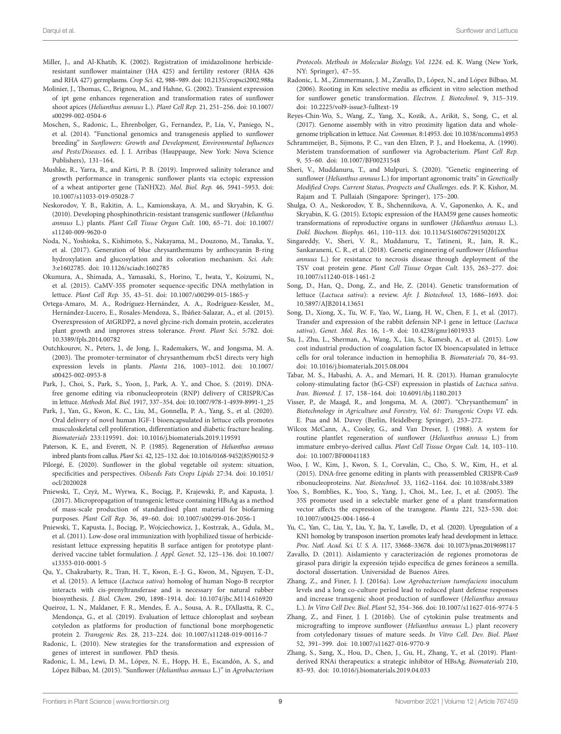- <span id="page-8-5"></span>Miller, J., and Al-Khatib, K. (2002). Registration of imidazolinone herbicideresistant sunflower maintainer (HA 425) and fertility restorer (RHA 426 and RHA 427) germplasms. *Crop Sci.* 42, 988–989. doi: [10.2135/cropsci2002.988a](https://doi.org/10.2135/cropsci2002.988a)
- <span id="page-8-13"></span>Molinier, J., Thomas, C., Brignou, M., and Hahne, G. (2002). Transient expression of ipt gene enhances regeneration and transformation rates of sunflower shoot apices (*Helianthus annuus* L.). *Plant Cell Rep.* 21, 251–256. doi: [10.1007/](https://doi.org/10.1007/s00299-002-0504-6) [s00299-002-0504-6](https://doi.org/10.1007/s00299-002-0504-6)
- <span id="page-8-8"></span>Moschen, S., Radonic, L., Ehrenbolger, G., Fernandez, P., Lía, V., Paniego, N., et al. (2014). "Functional genomics and transgenesis applied to sunflower breeding" in *Sunflowers: Growth and Development, Environmental Influences and Pests/Diseases*. ed. J. I. Arribas (Hauppauge, New York: Nova Science Publishers), 131–164.
- <span id="page-8-18"></span>Mushke, R., Yarra, R., and Kirti, P. B. (2019). Improved salinity tolerance and growth performance in transgenic sunflower plants via ectopic expression of a wheat antiporter gene (TaNHX2). *Mol. Biol. Rep.* 46, 5941–5953. doi: [10.1007/s11033-019-05028-7](https://doi.org/10.1007/s11033-019-05028-7)
- <span id="page-8-16"></span>Neskorodov, Y. B., Rakitin, A. L., Kamionskaya, A. M., and Skryabin, K. G. (2010). Developing phosphinothricin-resistant transgenic sunflower (*Helianthus annuus* L.) plants. *Plant Cell Tissue Organ Cult.* 100, 65–71. doi: [10.1007/](https://doi.org/10.1007/s11240-009-9620-0) [s11240-009-9620-0](https://doi.org/10.1007/s11240-009-9620-0)
- <span id="page-8-1"></span>Noda, N., Yoshioka, S., Kishimoto, S., Nakayama, M., Douzono, M., Tanaka, Y., et al. (2017). Generation of blue chrysanthemums by anthocyanin B-ring hydroxylation and glucosylation and its coloration mechanism. *Sci. Adv.* 3:e1602785. doi: [10.1126/sciadv.1602785](https://doi.org/10.1126/sciadv.1602785)
- <span id="page-8-37"></span>Okumura, A., Shimada, A., Yamasaki, S., Horino, T., Iwata, Y., Koizumi, N., et al. (2015). CaMV-35S promoter sequence-specific DNA methylation in lettuce. *Plant Cell Rep.* 35, 43–51. doi: [10.1007/s00299-015-1865-y](https://doi.org/10.1007/s00299-015-1865-y)
- <span id="page-8-24"></span>Ortega-Amaro, M. A., Rodríguez-Hernández, A. A., Rodríguez-Kessler, M., Hernández-Lucero, E., Rosales-Mendoza, S., Ibáñez-Salazar, A., et al. (2015). Overexpression of AtGRDP2, a novel glycine-rich domain protein, accelerates plant growth and improves stress tolerance. *Front. Plant Sci.* 5:782. doi: [10.3389/fpls.2014.00782](https://doi.org/10.3389/fpls.2014.00782)
- <span id="page-8-3"></span>Outchkourov, N., Peters, J., de Jong, J., Rademakers, W., and Jongsma, M. A. (2003). The promoter-terminator of chrysanthemum rbcS1 directs very high expression levels in plants. *Planta* 216, 1003–1012. doi: [10.1007/](https://doi.org/10.1007/s00425-002-0953-8) [s00425-002-0953-8](https://doi.org/10.1007/s00425-002-0953-8)
- <span id="page-8-35"></span>Park, J., Choi, S., Park, S., Yoon, J., Park, A. Y., and Choe, S. (2019). DNAfree genome editing via ribonucleoprotein (RNP) delivery of CRISPR/Cas in lettuce. *Methods Mol. Biol.* 1917, 337–354. doi: [10.1007/978-1-4939-8991-1\\_25](https://doi.org/10.1007/978-1-4939-8991-1_25)
- <span id="page-8-30"></span>Park, J., Yan, G., Kwon, K. C., Liu, M., Gonnella, P. A., Yang, S., et al. (2020). Oral delivery of novel human IGF-1 bioencapsulated in lettuce cells promotes musculoskeletal cell proliferation, differentiation and diabetic fracture healing. *Biomaterials* 233:119591. doi: [10.1016/j.biomaterials.2019.119591](https://doi.org/10.1016/j.biomaterials.2019.119591)
- <span id="page-8-6"></span>Paterson, K. E., and Everett, N. P. (1985). Regeneration of *Helianthus annuus* inbred plants from callus. *Plant Sci.* 42, 125–132. doi: [10.1016/0168-9452\(85\)90152-9](https://doi.org/10.1016/0168-9452(85)90152-9)
- <span id="page-8-2"></span>Pilorgé, E. (2020). Sunflower in the global vegetable oil system: situation, specificities and perspectives. *Oilseeds Fats Crops Lipids* 27:34. doi: [10.1051/](https://doi.org/10.1051/ocl/2020028) [ocl/2020028](https://doi.org/10.1051/ocl/2020028)
- <span id="page-8-33"></span>Pniewski, T., Czyż, M., Wyrwa, K., Bociąg, P., Krajewski, P., and Kapusta, J. (2017). Micropropagation of transgenic lettuce containing HBsAg as a method of mass-scale production of standardised plant material for biofarming purposes. *Plant Cell Rep.* 36, 49–60. doi: [10.1007/s00299-016-2056-1](https://doi.org/10.1007/s00299-016-2056-1)
- <span id="page-8-26"></span>Pniewski, T., Kapusta, J., Bociąg, P., Wojciechowicz, J., Kostrzak, A., Gdula, M., et al. (2011). Low-dose oral immunization with lyophilized tissue of herbicideresistant lettuce expressing hepatitis B surface antigen for prototype plantderived vaccine tablet formulation. *J. Appl. Genet.* 52, 125–136. doi: [10.1007/](https://doi.org/10.1007/s13353-010-0001-5) [s13353-010-0001-5](https://doi.org/10.1007/s13353-010-0001-5)
- <span id="page-8-23"></span>Qu, Y., Chakrabarty, R., Tran, H. T., Kwon, E.-J. G., Kwon, M., Nguyen, T.-D., et al. (2015). A lettuce (*Lactuca sativa*) homolog of human Nogo-B receptor interacts with cis-prenyltransferase and is necessary for natural rubber biosynthesis. *J. Biol. Chem.* 290, 1898–1914. doi: [10.1074/jbc.M114.616920](https://doi.org/10.1074/jbc.M114.616920)
- <span id="page-8-31"></span>Queiroz, L. N., Maldaner, F. R., Mendes, É. A., Sousa, A. R., D'Allastta, R. C., Mendonça, G., et al. (2019). Evaluation of lettuce chloroplast and soybean cotyledon as platforms for production of functional bone morphogenetic protein 2. *Transgenic Res.* 28, 213–224. doi: [10.1007/s11248-019-00116-7](https://doi.org/10.1007/s11248-019-00116-7)
- <span id="page-8-4"></span>Radonic, L. (2010). New strategies for the transformation and expression of genes of interest in sunflower. PhD thesis.
- <span id="page-8-10"></span>Radonic, L. M., Lewi, D. M., López, N. E., Hopp, H. E., Escandón, A. S., and López Bilbao, M. (2015). "Sunflower (*Helianthus annuus* L.)" in *Agrobacterium*

*Protocols. Methods in Molecular Biology, Vol. 1224*. ed. K. Wang (New York, NY: Springer), 47–55.

- <span id="page-8-14"></span>Radonic, L. M., Zimmermann, J. M., Zavallo, D., López, N., and López Bilbao, M. (2006). Rooting in Km selective media as efficient in vitro selection method for sunflower genetic transformation. *Electron. J. Biotechnol.* 9, 315–319. doi: [10.2225/vol9-issue3-fulltext-19](https://doi.org/10.2225/vol9-issue3-fulltext-19)
- <span id="page-8-22"></span>Reyes-Chin-Wo, S., Wang, Z., Yang, X., Kozik, A., Arikit, S., Song, C., et al. (2017). Genome assembly with in vitro proximity ligation data and wholegenome triplication in lettuce. *Nat. Commun.* 8:14953. doi: [10.1038/ncomms14953](https://doi.org/10.1038/ncomms14953)
- <span id="page-8-11"></span>Schrammeijer, B., Sijmons, P. C., van den Elzen, P. J., and Hoekema, A. (1990). Meristem transformation of sunflower via Agrobacterium. *Plant Cell Rep.* 9, 55–60. doi: [10.1007/BF00231548](https://doi.org/10.1007/BF00231548)
- <span id="page-8-12"></span>Sheri, V., Muddanuru, T., and Mulpuri, S. (2020). "Genetic engineering of sunflower (*Helianthus annuus* L.) for important agronomic traits" in *Genetically Modified Crops. Current Status, Prospects and Challenges*. eds. P. K. Kishor, M. Rajam and T. Pullaiah (Singapore: Springer), 175–200.
- <span id="page-8-19"></span>Shulga, O. A., Neskorodov, Y. B., Shchennikova, A. V., Gaponenko, A. K., and Skryabin, K. G. (2015). Ectopic expression of the HAM59 gene causes homeotic transformations of reproductive organs in sunflower (*Helianthus annuus* L.). *Dokl. Biochem. Biophys.* 461, 110–113. doi: [10.1134/S160767291502012X](https://doi.org/10.1134/S160767291502012X)
- <span id="page-8-20"></span>Singareddy, V., Sheri, V. R., Muddanuru, T., Tatineni, R., Jain, R. K., Sankaraneni, C. R., et al. (2018). Genetic engineering of sunflower (*Helianthus annuus* L.) for resistance to necrosis disease through deployment of the TSV coat protein gene. *Plant Cell Tissue Organ Cult.* 135, 263–277. doi: [10.1007/s11240-018-1461-2](https://doi.org/10.1007/s11240-018-1461-2)
- <span id="page-8-21"></span>Song, D., Han, Q., Dong, Z., and He, Z. (2014). Genetic transformation of lettuce (*Lactuca sativa*): a review. *Afr. J. Biotechnol.* 13, 1686–1693. doi: [10.5897/AJB2014.13651](https://doi.org/10.5897/AJB2014.13651)
- <span id="page-8-32"></span>Song, D., Xiong, X., Tu, W. F., Yao, W., Liang, H. W., Chen, F. J., et al. (2017). Transfer and expression of the rabbit defensin NP-1 gene in lettuce (*Lactuca sativa*). *Genet. Mol. Res.* 16, 1–9. doi: [10.4238/gmr16019333](https://doi.org/10.4238/gmr16019333)
- <span id="page-8-29"></span>Su, J., Zhu, L., Sherman, A., Wang, X., Lin, S., Kamesh, A., et al. (2015). Low cost industrial production of coagulation factor IX bioencapsulated in lettuce cells for oral tolerance induction in hemophilia B. *Biomaterials* 70, 84–93. doi: [10.1016/j.biomaterials.2015.08.004](https://doi.org/10.1016/j.biomaterials.2015.08.004)
- <span id="page-8-28"></span>Tabar, M. S., Habashi, A. A., and Memari, H. R. (2013). Human granulocyte colony-stimulating factor (hG-CSF) expression in plastids of *Lactuca sativa*. *Iran. Biomed. J.* 17, 158–164. doi: [10.6091/ibj.1180.2013](https://doi.org/10.6091/ibj.1180.2013)
- <span id="page-8-0"></span>Visser, P., de Maagd, R., and Jongsma, M. A. (2007). "Chrysanthemum" in *Biotechnology in Agriculture and Forestry, Vol. 61: Transgenic Crops VI*. eds. E. Pua and M. Davey (Berlin, Heidelberg: Springer), 253–272.
- <span id="page-8-7"></span>Wilcox McCann, A., Cooley, G., and Van Dreser, J. (1988). A system for routine plantlet regeneration of sunflower (*Helianthus annuus* L.) from immature embryo-derived callus. *Plant Cell Tissue Organ Cult.* 14, 103–110. doi: [10.1007/BF00041183](https://doi.org/10.1007/BF00041183)
- <span id="page-8-34"></span>Woo, J. W., Kim, J., Kwon, S. I., Corvalán, C., Cho, S. W., Kim, H., et al. (2015). DNA-free genome editing in plants with preassembled CRISPR-Cas9 ribonucleoproteins. *Nat. Biotechnol.* 33, 1162–1164. doi: [10.1038/nbt.3389](https://doi.org/10.1038/nbt.3389)
- <span id="page-8-17"></span>Yoo, S., Bomblies, K., Yoo, S., Yang, J., Choi, M., Lee, J., et al. (2005). The 35S promoter used in a selectable marker gene of a plant transformation vector affects the expression of the transgene. *Planta* 221, 523–530. doi: [10.1007/s00425-004-1466-4](https://doi.org/10.1007/s00425-004-1466-4)
- <span id="page-8-36"></span>Yu, C., Yan, C., Liu, Y., Liu, Y., Jia, Y., Lavelle, D., et al. (2020). Upregulation of a KN1 homolog by transposon insertion promotes leafy head development in lettuce. *Proc. Natl. Acad. Sci. U. S. A.* 117, 33668–33678. doi: [10.1073/pnas.2019698117](https://doi.org/10.1073/pnas.2019698117)
- <span id="page-8-25"></span>Zavallo, D. (2011). Aislamiento y caracterización de regiones promotoras de girasol para dirigir la expresión tejido específica de genes foráneos a semilla. doctoral dissertation. Universidad de Buenos Aires.
- <span id="page-8-15"></span>Zhang, Z., and Finer, J. J. (2016a). Low *Agrobacterium tumefaciens* inoculum levels and a long co-culture period lead to reduced plant defense responses and increase transgenic shoot production of sunflower (*Helianthus annuus* L.). *In Vitro Cell Dev. Biol. Plant* 52, 354–366. doi: [10.1007/s11627-016-9774-5](https://doi.org/10.1007/s11627-016-9774-5)
- <span id="page-8-9"></span>Zhang, Z., and Finer, J. J. (2016b). Use of cytokinin pulse treatments and micrografting to improve sunflower (*Helianthus annuus* L.) plant recovery from cotyledonary tissues of mature seeds. *In Vitro Cell. Dev. Biol. Plant* 52, 391–399. doi: [10.1007/s11627-016-9770-9](https://doi.org/10.1007/s11627-016-9770-9)
- <span id="page-8-27"></span>Zhang, S., Sang, X., Hou, D., Chen, J., Gu, H., Zhang, Y., et al. (2019). Plantderived RNAi therapeutics: a strategic inhibitor of HBsAg. *Biomaterials* 210, 83–93. doi: [10.1016/j.biomaterials.2019.04.033](https://doi.org/10.1016/j.biomaterials.2019.04.033)